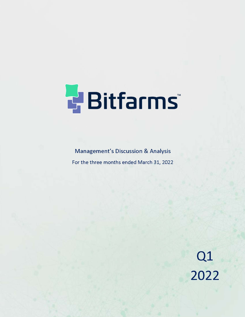

**Management's Discussion & Analysis** For the three months ended March 31, 2022

Q1<br>2022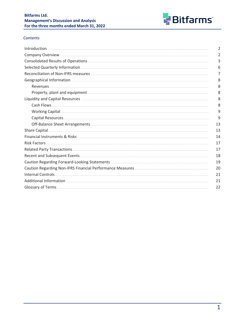

## Contents

| Introduction.      | $\overline{2}$ |
|--------------------|----------------|
|                    | 2              |
|                    | 3              |
|                    | 6              |
|                    | 7              |
|                    | 8              |
| Revenues.          | 8              |
|                    | 8              |
|                    | 8              |
| Cash Flows.        | 8              |
|                    | 9              |
|                    | 9              |
|                    | 13             |
|                    | 13             |
|                    | 14             |
|                    | 17             |
|                    | 17             |
|                    | 18             |
|                    | 19             |
|                    | 20             |
| Internal Controls. | 21             |
|                    | 21             |
|                    | 22             |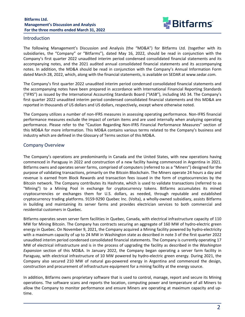

### <span id="page-2-0"></span>Introduction

The following Management's Discussion and Analysis (the "MD&A") for Bitfarms Ltd. (together with its subsidiaries, the "Company" or "Bitfarms"), dated May 16, 2022, should be read in conjunction with the Company's first quarter 2022 unaudited interim period condensed consolidated financial statements and its accompanying notes, and the 2021 audited annual consolidated financial statements and its accompanying notes. In addition, the MD&A should be read in conjunction with the Company's Annual Information Form dated March 28, 2022, which, along with the financial statements, is available on SEDAR at www.sedar.com.

The Company's first quarter 2022 unaudited interim period condensed consolidated financial statements and the accompanying notes have been prepared in accordance with International Financial Reporting Standards ("IFRS") as issued by the International Accounting Standards Board ("IASB"), including IAS 34. The Company's first quarter 2022 unaudited interim period condensed consolidated financial statements and this MD&A are reported in thousands of US dollars and US dollars, respectively, except where otherwise noted.

The Company utilizes a number of non-IFRS measures in assessing operating performance. Non-IFRS financial performance measures exclude the impact of certain items and are used internally when analyzing operating performance. Please refer to the "Caution Regarding Non-IFRS Financial Performance Measures" section of this MD&A for more information. This MD&A contains various terms related to the Company's business and industry which are defined in the Glossary of Terms section of this MD&A.

## Company Overview

The Company's operations are predominantly in Canada and the United States, with new operations having commenced in Paraguay in 2022 and construction of a new facility having commenced in Argentina in 2021. Bitfarms owns and operates server farms, comprised of computers (referred to as a "Miners") designed for the purpose of validating transactions, primarily on the Bitcoin Blockchain. The Miners operate 24 hours a day and revenue is earned from Block Rewards and transaction fees issued in the form of cryptocurrencies by the Bitcoin network. The Company contributes its Hashrate, which is used to validate transactions (referred to as "Mining") to a Mining Pool in exchange for cryptocurrency tokens. Bitfarms accumulates its mined cryptocurrencies or exchanges them for U.S. dollars, as needed, through reputable and established cryptocurrency trading platforms. 9159-9290 Quebec Inc. (Volta), a wholly-owned subsidiary, assists Bitfarms in building and maintaining its server farms and provides electrician services to both commercial and residential customers in Quebec.

Bitfarms operates seven server farm facilities in Quebec, Canada, with electrical infrastructure capacity of 110 MW for Mining Bitcoin. The Company has contracts securing an aggregate of 160 MW of hydro-electric green energy in Quebec. On November 9, 2021, the Company acquired a Mining facility powered by hydro-electricity with a maximum capacity of up to 24 MW in Washington state as described in note 3 of the first quarter 2022 unaudited interim period condensed consolidated financial statements. The Company is currently operating 17 MW of electrical infrastructure and is in the process of upgrading the facility as described in the *Washington Expansion* section of this MD&A. In January 2022, the Company began operating a server farm facility in Paraguay, with electrical infrastructure of 10 MW powered by hydro-electric green energy. During 2021, the Company also secured 210 MW of natural gas-powered energy in Argentina and commenced the design, construction and procurement of infrastructure equipment for a mining facility at the energy source.

In addition, Bitfarms owns proprietary software that is used to control, manage, report and secure its Mining operations. The software scans and reports the location, computing power and temperature of all Miners to allow the Company to monitor performance and ensure Miners are operating at maximum capacity and uptime.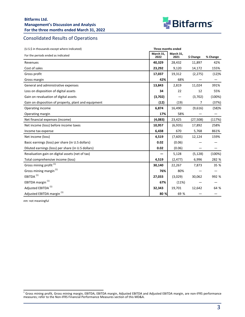

# <span id="page-3-0"></span>Consolidated Results of Operations

| (U.S.\$ in thousands except where indicated)         | Three months ended |                   |           |          |
|------------------------------------------------------|--------------------|-------------------|-----------|----------|
| For the periods ended as indicated                   | March 31,<br>2022  | March 31,<br>2021 | \$ Change | % Change |
| Revenues                                             | 40,329             | 28,432            | 11,897    | 42%      |
| Cost of sales                                        | 23,292             | 9,120             | 14,172    | 155%     |
| Gross profit                                         | 17,037             | 19,312            | (2, 275)  | (12)%    |
| Gross margin                                         | 42%                | 68%               |           |          |
| General and administrative expenses                  | 13,843             | 2,819             | 11,024    | 391%     |
| Loss on disposition of digital assets                | 34                 | 22                | 12        | 55%      |
| Gain on revaluation of digital assets                | (3,702)            |                   | (3,702)   | (100%)   |
| Gain on disposition of property, plant and equipment | (12)               | (19)              | 7         | (37%)    |
| Operating income                                     | 6,874              | 16,490            | (9,616)   | (58)%    |
| Operating margin                                     | 17%                | 58%               |           |          |
| Net financial expenses (income)                      | (4,083)            | 23,425            | (27,508)  | (117%)   |
| Net income (loss) before income taxes                | 10,957             | (6,935)           | 17,892    | 258%     |
| Income tax expense                                   | 6,438              | 670               | 5,768     | 861%     |
| Net income (loss)                                    | 4,519              | (7,605)           | 12,124    | 159%     |
| Basic earnings (loss) per share (in U.S dollars)     | 0.02               | (0.06)            |           |          |
| Diluted earnings (loss) per share (in U.S dollars)   | 0.02               | (0.06)            |           |          |
| Revaluation gain on digital assets (net of tax)      |                    | 5,128             | (5, 128)  | (100%)   |
| Total comprehensive income (loss)                    | 4,519              | (2, 477)          | 6,996     | 282 %    |
| Gross mining profit <sup>(1)</sup>                   | 30,140             | 22,267            | 7,873     | 35 %     |
| Gross mining margin <sup>(1)</sup>                   | 76%                | 80%               |           |          |
| EBITDA <sup>(1)</sup>                                | 27,033             | (3,029)           | 30,062    | 992 %    |
| EBITDA margin <sup>(1)</sup>                         | 67%                | (11%)             |           |          |
| Adjusted EBITDA <sup>(1)</sup>                       | 32,343             | 19,701            | 12,642    | 64 %     |
| Adjusted EBITDA margin <sup>(1)</sup>                | 80 %               | 69 %              |           |          |

*nm:* not meaningful

<sup>&</sup>lt;sup>1</sup> Gross mining profit, Gross mining margin, EBITDA, EBITDA margin, Adjusted EBITDA and Adjusted EBITDA margin, are non-IFRS performance measures; refer to the Non-IFRS Financial Performance Measures section of this MD&A.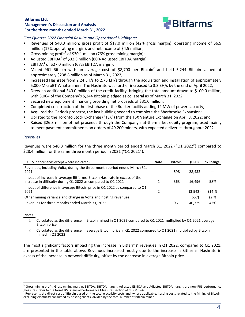

First Quarter 2022 Financial Results and Operational Highlights:

- Revenues of \$40.3 million; gross profit of \$17.0 million (42% gross margin), operating income of \$6.9 million (17% operating margin), and net income of \$4.5 million;
- Gross mining profit<sup>1</sup> of \$30.1 million (76% gross mining margin);
- Adjusted EBITDA<sup>1</sup> of \$32.3 million (80% Adjusted EBITDA margin)
- **•** EBITDA<sup>1</sup> of \$27.0 million (67% EBITDA margin);
- Mined 961 Bitcoin with an average cost of \$8,700 per Bitcoin<sup>2</sup> and held 5,244 Bitcoin valued at approximately \$238.8 million as of March 31, 2022;
- Increased Hashrate from 2.24 EH/s to 2.73 EH/s through the acquisition and installation of approximately 5,000 MicroBT Whatsminers. The Hashrate was further increased to 3.3 EH/s by the end of April 2022;
- Drew an additional \$40.0 million of the credit facility, bringing the total amount drawn to \$100.0 million, with 3,064 of the Company's 5,244 Bitcoin pledged as collateral as of March 31, 2022;
- Secured new equipment financing providing net proceeds of \$31.0 million;
- Completed construction of the first phase of the Bunker facility adding 12 MW of power capacity;
- Acquired the Garlock property, the last building needed to complete the Sherbrooke Expansion;
- Uplisted to the Toronto Stock Exchange ("TSX") from the TSX Venture Exchange on April 8, 2022; and
- Raised \$26.3 million of net proceeds through the Company's at-the-market equity program, used mainly to meet payment commitments on orders of 49,200 miners, with expected deliveries throughout 2022.

#### *Revenues*

Revenues were \$40.3 million for the three month period ended March 31, 2022 ("Q1 2022") compared to \$28.4 million for the same three month period in 2021 ("Q1 2021").

| (U.S. \$ in thousands except where indicated)                                                                                             | Note | <b>Bitcoin</b> | (USD)   | % Change |
|-------------------------------------------------------------------------------------------------------------------------------------------|------|----------------|---------|----------|
| Revenues, including Volta, during the three-month period ended March 31,<br>2021                                                          |      | 598            | 28.432  |          |
| Impact of increase in average Bitfarms' Bitcoin Hashrate in excess of the<br>increase in difficulty during Q1 2022 as compared to Q1 2021 |      | 363            | 16.496  | 58%      |
| Impact of difference in average Bitcoin price in Q1 2022 as compared to Q1<br>2021                                                        |      |                | (3,942) | (14)%    |
| Other mining variance and change in Volta and hosting revenues                                                                            |      |                | (657)   | (2)%     |
| Revenues for three months ended March 31, 2022                                                                                            |      | 961            | 40.329  | 42%      |

Notes

- 1 Calculated as the difference in Bitcoin mined in Q1 2022 compared to Q1 2021 multiplied by Q1 2021 average Bitcoin price
- 2 Calculated as the difference in average Bitcoin price in Q1 2022 compared to Q1 2021 multiplied by Bitcoin mined in Q1 2022

The most significant factors impacting the increase in Bitfarms' revenues in Q1 2022, compared to Q1 2021, are presented in the table above. Revenues increased mostly due to the increase in Bitfarms' Hashrate in excess of the increase in network difficulty, offset by the decrease in average Bitcoin price.

<sup>1</sup> Gross mining profit, Gross mining margin, EBITDA, EBITDA margin, Adjusted EBITDA and Adjusted EBITDA margin, are non-IFRS performance measures; refer to the Non-IFRS Financial Performance Measures section of this MD&A.<br><sup>2</sup> Persecents the direct sect of Pitcein based on the tatal electricity secte and where are

Represents the direct cost of Bitcoin based on the total electricity costs and, where applicable, hosting costs related to the Mining of Bitcoin, excluding electricity consumed by hosting clients, divided by the total number of Bitcoin mined.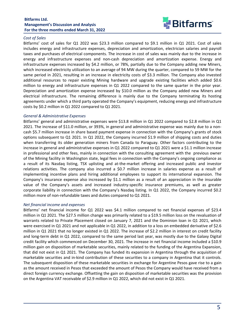

### *Cost of Sales*

Bitfarms' cost of sales for Q1 2022 was \$23.3 million compared to \$9.1 million in Q1 2021. Cost of sales includes energy and infrastructure expenses, depreciation and amortization, electrician salaries and payroll taxes and purchases of electrical components. The increase in cost of sales was mainly due to the increase in energy and infrastructure expenses and non-cash depreciation and amortization expense. Energy and infrastructure expenses increased by \$4.2 million, or 78%, partially due to the Company adding new Miners, which increased electricity utilization to an average of 94 MW during the quarter, compared to 59 MW for the same period in 2021, resulting in an increase in electricity costs of \$3.3 million. The Company also invested additional resources to repair existing Mining hardware and upgrade existing facilities which added \$0.6 million to energy and infrastructure expenses in Q1 2022 compared to the same quarter in the prior year. Depreciation and amortization expense increased by \$10.0 million as the Company added new Miners and electrical infrastructure. The remaining difference is mainly due to the Company terminating its hosting agreements under which a third party operated the Company's equipment, reducing energy and infrastructure costs by \$0.2 million in Q1 2022 compared to Q1 2021.

#### *General & Administrative Expenses*

Bitfarms' general and administrative expenses were \$13.8 million in Q1 2022 compared to \$2.8 million in Q1 2021. The increase of \$11.0 million, or 393%, in general and administrative expense was mainly due to a noncash \$5.7 million increase in share based payment expense in connection with the Company's grants of stock options subsequent to Q1 2021. In Q1 2022, the Company incurred \$1.9 million of shipping costs and duties when transferring its older generation miners from Canada to Paraguay. Other factors contributing to the increase in general and administrative expenses in Q1 2022 compared to Q1 2021 were a \$1.1 million increase in professional and other fees, mainly in connection with the consulting agreement with the previous owner of the Mining facility in Washington state, legal fees in connection with the Company's ongoing compliance as a result of its Nasdaq listing, TSX uplisting and at-the-market offering and increased public and investor relations activities. The company also incurred a \$0.7 million increase in salaries expense as a result of implementing incentive plans and hiring additional employees to support its international expansion. The Company's insurance expense also increased by \$1.1 million as a result of an appreciation in the insurable value of the Company's assets and increased industry-specific insurance premiums, as well as greater corporate liability in connection with the Company's Nasdaq listing. In Q1 2022, the Company incurred \$0.2 million more of non-refundable taxes and duties compared to Q1 2021.

#### *Net financial income and expenses*

Bitfarms' net financial income for Q1 2022 was \$4.1 million compared to net financial expenses of \$23.4 million in Q1 2021. The \$27.5 million change was primarily related to a \$19.5 million loss on the revaluation of warrants related to Private Placement closed on January 7, 2021 and the Dominion loan in Q1 2021, which were exercised in Q1 2021 and not applicable in Q1 2022, in addition to a loss on embedded derivative of \$2.6 million in Q1 2021 that no longer existed in Q1 2022. The increase of \$2.2 million in interest on credit facility and long-term debt in Q1 2022, compared to the same period last year, was mostly due to the Galaxy Digital credit facility which commenced on December 30, 2021. The increase in net financial income included a \$10.9 million gain on disposition of marketable securities, mainly related to the funding of the Argentina Expansion, that did not exist in Q1 2021. The Company has funded its expansion in Argentina through the acquisition of marketable securities and in-kind contribution of these securities to a company in Argentina that it controls. The subsequent disposition of these marketable securities in exchange for Argentine Pesos gave rise to a gain as the amount received in Pesos that exceeded the amount of Pesos the Company would have received from a direct foreign currency exchange. Offsetting the gain on disposition of marketable securities was the provision on the Argentina VAT receivable of \$2.9 million in Q1 2022, which did not exist in Q1 2021.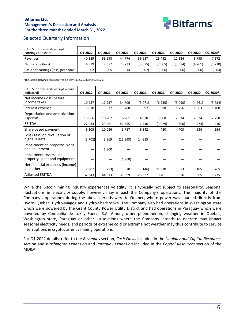

## <span id="page-6-0"></span>Selected Quarterly Information

| (U.S. \$ in thousands except<br>earnings per share) | Q1 2022 | Q4 2021 | Q3 2021 | Q2 2021 | Q1 2021 | Q4 2020 | Q3 2020 | Q2 2020* |
|-----------------------------------------------------|---------|---------|---------|---------|---------|---------|---------|----------|
| Revenues                                            | 40,329  | 59.598  | 44.774  | 36.687  | 28.432  | 11.324  | 6.795   | 7,372    |
| Net income (loss)                                   | 4,519   | 9.677   | 23.733  | (3.675) | '7,605) | (5.374) | (4.761) | (3,730)  |
| Basic net earnings (loss) per share                 | 0.02    | 0.05    | 0.14    | (0.02)  | (0.06)  | (0.06)  | (0.06)  | (0.04)   |

\*The Bitcoin Halving Event occurred on May 11, 2020, during Q2 2020.

| (U.S. \$ in thousands except where<br>indicated)        | Q1 2022 | Q4 2021 | Q3 2021  | Q2 2021 | Q1 2021 | Q4 2020 | Q3 2020  | Q2 2020* |
|---------------------------------------------------------|---------|---------|----------|---------|---------|---------|----------|----------|
| Net income (loss) before<br>income taxes                | 10,957  | 17,937  | 34,706   | (3,071) | (6,935) | (5,090) | (4, 761) | (3,734)  |
| Interest expense                                        | 3,010   | 837     | 788      | 897     | 898     | 1,756   | 1,563    | 1,400    |
| Depreciation and amortization<br>expense                | 13,066  | 10,287  | 6,261    | 4,920   | 3,008   | 2,834   | 2,924    | 2,750    |
| <b>EBITDA</b>                                           | 27,033  | 29,061  | 41,755   | 2,746   | (3,029) | (500)   | (274)    | 416      |
| Share based payment                                     | 6,105   | 10,036  | 5,787    | 6,342   | 420     | 403     | 534      | 254      |
| Loss (gain) on revaluation of<br>digital assets         | (3,702) | 3,869   | (13,893) | 14,885  |         |         |          |          |
| Impairment on property, plant<br>and equipment          |         | 1,800   |          |         |         |         |          |          |
| Impairment reversal on<br>property, plant and equipment |         |         | (1,860)  |         |         |         |          |          |
| Net financial expenses (income)<br>and other            | 2,907   | (753)   | 70       | (146)   | 22,310  | 3,653   | 105      | 765      |
| <b>Adjusted EBITDA</b>                                  | 32,343  | 44,013  | 31,859   | 23,827  | 19,701  | 3,556   | 365      | 1,435    |

While the Bitcoin mining industry experiences volatility, it is typically not subject to seasonality. Seasonal fluctuations in electricity supply, however, may impact the Company's operations. The majority of the Company's operations during the above periods were in Quebec, where power was sourced directly from Hydro-Quebec, Hydro-Magog and Hydro-Sherbrooke. The Company also had operations in Washington state which were powered by the Grant County Power Utility District and had operations in Paraguay which were powered by Compañia de Luz y Fuerza S.A. Among other phenomenon, changing weather in Quebec, Washington state, Paraguay or other jurisdictions where the Company intends to operate may impact seasonal electricity needs, and periods of extreme cold or extreme hot weather may thus contribute to service interruptions in cryptocurrency mining operations.

For Q1 2022 details, refer to the *Revenues* section, *Cash Flows* included in the *Liquidity and Capital Resources* section and *Washington Expansion* and *Paraguay Expansion* included in the *Capital Resources* section of the MD&A.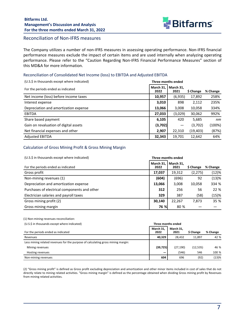

## <span id="page-7-0"></span>Reconciliation of Non-IFRS measures

The Company utilizes a number of non-IFRS measures in assessing operating performance. Non-IFRS financial performance measures exclude the impact of certain items and are used internally when analyzing operating performance. Please refer to the "Caution Regarding Non-IFRS Financial Performance Measures" section of this MD&A for more information.

#### Reconciliation of Consolidated Net Income (loss) to EBITDA and Adjusted EBITDA

| (U.S.\$ in thousands except where indicated) |                   | Three months ended |           |          |
|----------------------------------------------|-------------------|--------------------|-----------|----------|
| For the periods ended as indicated           | March 31.<br>2022 | March 31,<br>2021  | \$ Change | % Change |
| Net income (loss) before income taxes        | 10,957            | (6,935)            | 17,892    | 258%     |
| Interest expense                             | 3,010             | 898                | 2,112     | 235%     |
| Depreciation and amortization expense        | 13,066            | 3,008              | 10,058    | 334%     |
| <b>EBITDA</b>                                | 27,033            | (3,029)            | 30,062    | 992%     |
| Share based payment                          | 6,105             | 420                | 5,685     | nm       |
| Gain on revaluation of digital assets        | (3,702)           |                    | (3,702)   | (100%)   |
| Net financial expenses and other             | 2,907             | 22,310             | (19,403)  | (87%)    |
| <b>Adjusted EBITDA</b>                       | 32,343            | 19,701             | 12,642    | 64%      |

### Calculation of Gross Mining Profit & Gross Mining Margin

| (U.S.\$ in thousands except where indicated) | Three months ended |                   |           |          |
|----------------------------------------------|--------------------|-------------------|-----------|----------|
| For the periods ended as indicated           | March 31,<br>2022  | March 31,<br>2021 | \$ Change | % Change |
| Gross profit                                 | 17,037             | 19,312            | (2, 275)  | (12)%    |
| Non-mining revenues (1)                      | (604)              | (696)             | 92        | (13)%    |
| Depreciation and amortization expense        | 13,066             | 3,008             | 10,058    | 334 %    |
| Purchases of electrical components and other | 312                | 256               | 56        | 22 %     |
| Electrician salaries and payroll taxes       | 329                | 387               | (58)      | (15)%    |
| Gross mining profit (2)                      | 30,140             | 22,267            | 7,873     | 35 %     |
| Gross mining margin                          | 76 %l              | 80 %              |           |          |

(1) Non-mining revenues reconciliation:

| (U.S.\$ in thousands except where indicated)                                     |                   | Three months ended |           |          |
|----------------------------------------------------------------------------------|-------------------|--------------------|-----------|----------|
| For the periods ended as indicated                                               | March 31.<br>2022 | March 31,<br>2021  | \$ Change | % Change |
| Revenues                                                                         | 40.329            | 28.432             | 11.897    | 42 %     |
| Less mining related revenues for the purpose of calculating gross mining margin: |                   |                    |           |          |
| Mining revenues                                                                  | (39, 725)         | (27, 190)          | (12, 535) | 46 %     |
| Hosting revenues                                                                 |                   | (546)              | 546       | 100 %    |
| Non-mining revenues                                                              | 604               | 696                | (92)      | (13)%    |

(2) "Gross mining profit" is defined as Gross profit excluding depreciation and amortization and other minor items included in cost of sales that do not directly relate to mining related activities. "Gross mining margin" is defined as the percentage obtained when dividing Gross mining profit by Revenues from mining related activities.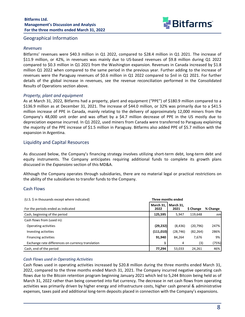

### <span id="page-8-0"></span>Geographical Information

#### *Revenues*

Bitfarms' revenues were \$40.3 million in Q1 2022, compared to \$28.4 million in Q1 2021. The increase of \$11.9 million, or 42%, in revenues was mainly due to US-based revenues of \$9.8 million during Q1 2022 compared to \$0.3 million in Q1 2021 from the Washington expansion. Revenues in Canada increased by \$1.8 million Q1 2022 when compared to the same period in the previous year. Further adding to the increase of revenues were the Paraguay revenues of \$0.6 million in Q1 2022 compared to \$nil in Q1 2021. For further details of the global increase in revenues, see the revenue reconciliation performed in the Consolidated Results of Operations section above.

### *Property, plant and equipment*

As at March 31, 2022, Bitfarms had a property, plant and equipment ("PPE") of \$180.9 million compared to a \$136.9 million as at December 31, 2021. The increase of \$44.0 million, or 32% was primarily due to a \$41.5 million increase of PPE in Canada, mainly relating to the delivery of approximately 12,000 miners from the Company's 48,000 unit order and was offset by a \$4.7 million decrease of PPE in the US mostly due to depreciation expense incurred. In Q1 2022, used miners from Canada were transferred to Paraguay explaining the majority of the PPE increase of \$1.5 million in Paraguay. Bitfarms also added PPE of \$5.7 million with the expansion in Argentina.

## Liquidity and Capital Resources

As discussed below, the Company's financing strategy involves utilizing short-term debt, long-term debt and equity instruments. The Company anticipates requiring additional funds to complete its growth plans discussed in the *Expansions* section of this MD&A.

Although the Company operates through subsidiaries, there are no material legal or practical restrictions on the ability of the subsidiaries to transfer funds to the Company.

### Cash Flows

| (U.S. \$ in thousands except where indicated)     |                   | Three months ended |           |          |
|---------------------------------------------------|-------------------|--------------------|-----------|----------|
| For the periods ended as indicated                | March 31,<br>2022 | March 31.<br>2021  | \$ Change | % Change |
| Cash, beginning of the period                     | 125,595           | 5.947              | 119.648   | nm       |
| Cash flows from (used in):                        |                   |                    |           |          |
| Operating activities                              | (29, 232)         | (8, 436)           | (20, 796) | 247%     |
| Investing activities                              | (111,010)         | (28, 746)          | (82, 264) | 286%     |
| <b>Financing activities</b>                       | 91,940            | 84,264             | 7,676     | 9%       |
| Exchange rate differences on currency translation |                   | 4                  | (3)       | (75%)    |
| Cash, end of the period                           | 77,294            | 53,033             | 24,261    | 46%      |

### *Cash Flows used in Operating Activities*

Cash flows used in operating activities increased by \$20.8 million during the three months ended March 31, 2022, compared to the three months ended March 31, 2021. The Company incurred negative operating cash flows due to the Bitcoin retention program beginning January 2021 which led to 5,244 Bitcoin being held as of March 31, 2022 rather than being converted into fiat currency. The decrease in net cash flows from operating activities was primarily driven by higher energy and infrastructure costs, higher cash general & administrative expenses, taxes paid and additional long-term deposits placed in connection with the Company's expansions.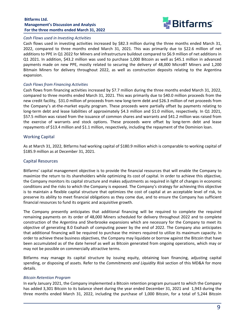

#### <span id="page-9-0"></span>*Cash Flows used in Investing Activities*

Cash flows used in investing activities increased by \$82.3 million during the three months ended March 31, 2022, compared to three months ended March 31, 2021. This was primarily due to \$22.6 million of net additions to PPE in Q1 2022 for Miners and infrastructure buildout compared to \$6.9 million of net additions in Q1 2021. In addition, \$43.2 million was used to purchase 1,000 Bitcoin as well as \$45.1 million in advanced payments made on new PPE, mostly related to securing the delivery of 48,000 MicroBT Miners and 1,200 Bitmain Miners for delivery throughout 2022, as well as construction deposits relating to the Argentina expansion. 

### *Cash Flows from Financing Activities*

Cash flows from financing activities increased by \$7.7 million during the three months ended March 31, 2022, compared to three months ended March 31, 2021. This was primarily due to \$40.0 million proceeds from the new credit facility, \$31.0 million of proceeds from new long-term debt and \$26.3 million of net proceeds from the Company's at-the-market equity program. These proceeds were partially offset by payments relating to long-term debt and lease liabilities of approximately \$4.3 million and \$1.0 million, respectively. In Q1 2021, \$57.5 million was raised from the issuance of common shares and warrants and \$41.2 million was raised from the exercise of warrants and stock options. These proceeds were offset by long-term debt and lease repayments of \$13.4 million and \$1.1 million, respectively, including the repayment of the Dominion loan.

#### Working Capital

As at March 31, 2022, Bitfarms had working capital of \$180.9 million which is comparable to working capital of \$185.9 million as at December 31, 2021.

#### Capital Resources

Bitfarms' capital management objective is to provide the financial resources that will enable the Company to maximize the return to its shareholders while optimizing its cost of capital. In order to achieve this objective, the Company monitors its capital structure and makes adjustments as required in light of changes in economic conditions and the risks to which the Company is exposed. The Company's strategy for achieving this objective is to maintain a flexible capital structure that optimizes the cost of capital at an acceptable level of risk, to preserve its ability to meet financial obligations as they come due, and to ensure the Company has sufficient financial resources to fund its organic and acquisitive growth.

The Company presently anticipates that additional financing will be required to complete the required remaining payments on its order of 48,000 Miners scheduled for delivery throughout 2022 and to complete construction of the Argentina and Sherbrooke expansions which are necessary for the Company to meet its objective of generating 8.0 Exahash of computing power by the end of 2022. The Company also anticipates that additional financing will be required to purchase the miners required to utilize its maximum capacity. In order to achieve these business objectives, the Company may liquidate or borrow against the Bitcoin that have been accumulated as of the date hereof as well as Bitcoin generated from ongoing operations, which may or may not be possible on commercially attractive terms.

Bitfarms may manage its capital structure by issuing equity, obtaining loan financing, adjusting capital spending, or disposing of assets. Refer to the *Commitments and Liquidity Risk* section of this MD&A for more details. 

#### *Bitcoin Retention Program*

In early January 2021, the Company implemented a Bitcoin retention program pursuant to which the Company has added 3,301 Bitcoin to its balance sheet during the year ended December 31, 2021 and 1,943 during the three months ended March 31, 2022, including the purchase of 1,000 Bitcoin, for a total of 5,244 Bitcoin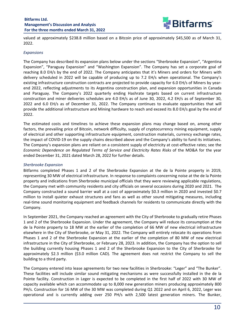

valued at approximately \$238.8 million based on a Bitcoin price of approximately \$45,500 as of March 31, 2022. 

#### *Expansions*

The Company has described its expansion plans below under the sections "Sherbrooke Expansion", "Argentina Expansion", "Paraguay Expansion" and "Washington Expansion". The Company has set a corporate goal of reaching 8.0 EH/s by the end of 2022. The Company anticipates that it's Miners and orders for Miners with delivery scheduled in 2022 will be capable of producing up to 7.2 EH/s when operational. The Company's existing infrastructure construction contracts are projected to provide capacity for 6.0 EH/s of Miners by yearend 2022, reflecting adjustments to its Argentina construction plan, and expansion opportunities in Canada and Paraguay. The Company's 2022 quarterly ending Hashrate targets based on current infrastructure construction and miner deliveries schedules are 4.0 EH/s as of June 30, 2022, 4.2 EH/s as of September 30, 2022 and 6.0 EH/s as of December 31, 2022. The Company continues to evaluate opportunities that will provide the additional infrastructure and Mining hardware to reach and exceed its 8.0 EH/s goal by the end of 2022.

The estimated costs and timelines to achieve these expansion plans may change based on, among other factors, the prevailing price of Bitcoin, network difficulty, supply of cryptocurrency mining equipment, supply of electrical and other supporting infrastructure equipment, construction materials, currency exchange rates, the impact of COVID-19 on the supply chains described above and the Company's ability to fund its initiatives. The Company's expansion plans are reliant on a consistent supply of electricity at cost-effective rates; see the *Economic Dependence on Regulated Terms of Service and Electricity Rates Risks* of the MD&A for the year ended December 31, 2021 dated March 28, 2022 for further details.

### *Sherbrooke Expansion*

Bitfarms completed Phases 1 and 2 of the Sherbrooke Expansion at the de la Pointe property in 2019, representing 30 MW of electrical infrastructure. In response to complaints concerning noise at the de la Pointe property and indications from Sherbrooke municipal officials that they were reviewing applicable regulations, the Company met with community residents and city officials on several occasions during 2020 and 2021. The Company constructed a sound barrier wall at a cost of approximately \$0.3 million in 2020 and invested \$0.7 million to install quieter exhaust structures and fans as well as other sound mitigating measures, including real-time sound monitoring equipment and feedback channels for residents to communicate directly with the Company. 

In September 2021, the Company reached an agreement with the City of Sherbrooke to gradually retire Phases 1 and 2 of the Sherbrooke Expansion. Under the agreement, the Company will reduce its consumption at the de la Pointe property to 18 MW at the earlier of the completion of 66 MW of new electrical infrastructure elsewhere in the City of Sherbrooke, or May 31, 2022. The Company will entirely relocate its operations from Phases 1 and 2 of the Sherbrooke Expansion at the earlier of the completion of 80 MW of new electrical infrastructure in the City of Sherbrooke, or February 28, 2023. In addition, the Company has the option to sell the building currently housing Phases 1 and 2 of the Sherbrooke Expansion to the City of Sherbrooke for approximately \$2.3 million (\$3.0 million CAD). The agreement does not restrict the Company to sell the building to a third party.

The Company entered into lease agreements for two new facilities in Sherbrooke: "Leger" and "The Bunker". These facilities will include similar sound mitigating mechanisms as were successfully installed in the de la Pointe facility. Construction in Leger is expected to be completed in the first half of 2022 with 30 MW of capacity available which can accommodate up to 8,000 new generation miners producing approximately 800 PH/s. Construction for 16 MW of the 30 MW was completed during Q1 2022 and on April 6, 2022, Leger was operational and is currently adding over 250 PH/s with 2,500 latest generation miners. The Bunker,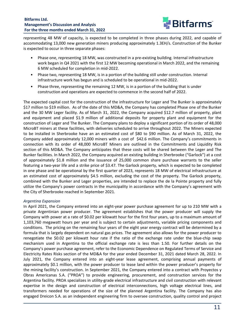

representing 48 MW of capacity, is expected to be completed in three phases during 2022, and capable of accommodating 13,000 new generation miners producing approximately 1.3EH/s. Construction of the Bunker is expected to occur in three separate phases:

- Phase one, representing 18 MW, was constructed in a pre-existing building. Internal infrastructure work began in Q4 2021 with the first 12 MW becoming operational in March 2022, and the remaining 6 MW scheduled for completion in mid-2022.
- Phase two, representing 18 MW, is in a portion of the building still under construction. Internal infrastructure work has begun and is scheduled to be operational in mid-2022.
- Phase three, representing the remaining 12 MW, is in a portion of the building that is under construction and operations are expected to commence in the second half of 2022.

The expected capital cost for the construction of the infrastructure for Leger and The Bunker is approximately \$17 million to \$19 million. As of the date of this MD&A, the Company has completed Phase one of the Bunker and the 30 MW Leger facility. As of March 31, 2022, the Company acquired \$12.7 million of property, plant and equipment and placed \$1.9 million of additional deposits for property plant and equipment for the construction of Leger and The Bunker. The Company plans to deploy a significant portion of its order of 48,000 MicroBT miners at these facilities, with deliveries scheduled to arrive throughout 2022. The Miners expected to be installed in Sherbrooke have an an estimated cost of \$80 to \$90 million. As of March 31, 2022, the Company added approximately 12,000 miners with a cost of \$42.6 million. The Company's commitments in connection with its order of 48,000 MicroBT Miners are outlined in the Commitments and Liquidity Risk section of this MD&A. The Company anticipates that these costs will be shared between the Leger and The Bunker facilities. In March 2022, the Company acquired an existing building in Sherbrooke ("Garlock") at a cost of approximately \$1.8 million and the issuance of 25,000 common share purchase warrants to the seller featuring a two-year life and a strike price of \$3.47. The Garlock property, which is expected to be completed in one phase and be operational by the first quarter of 2023, represents 18 MW of electrical infrastructure at an estimated cost of approximately \$4.5 million, excluding the cost of the property. The Garlock property, combined with the Bunker and Leger properties, are intended to replace the de la Pointe property and fully utilize the Company's power contracts in the municipality in accordance with the Company's agreement with the City of Sherbrooke reached in September 2021.

### *Argentina Expansion*

In April 2021, the Company entered into an eight-year power purchase agreement for up to 210 MW with a private Argentinian power producer. The agreement establishes that the power producer will supply the Company with power at a rate of \$0.02 per kilowatt hour for the first four years, up to a maximum amount of 1,103,760 megawatt hours per year and is subject to certain adjustments, variable pricing components and conditions. The pricing on the remaining four years of the eight year energy contract will be determined by a formula that is largely dependent on natural gas prices. The agreement also allows for the power producer to renegotiate the \$0.02 per kilowatt hour rate if the ratio of the exchange rate under the blue-chip swap mechanism used in Argentina to the official exchange rate is less than 1.50. For further details on the Company's power purchase agreement, refer to the Economic Dependence on Regulated Terms of Service and Electricity Rates Risks section of the MD&A for the year ended December 31, 2021 dated March 28, 2022. In July 2021, the Company entered into an eight-year lease agreement, comprising annual payments of approximately \$0.1 million, with the power producer to lease land within the power producer's property for the mining facility's construction. In September 2021, the Company entered into a contract with Proyectos y Obras Americanas S.A. ("PROA") to provide engineering, procurement, and construction services for the Argentina facility. PROA specializes in utility-grade electrical infrastructure and civil construction with relevant expertise in the design and construction of electrical interconnections, high voltage electrical lines, and transformers needed for operations of the size of the planned Argentina facility. The Company has also engaged Dreicon S.A. as an independent engineering firm to oversee construction, quality control and project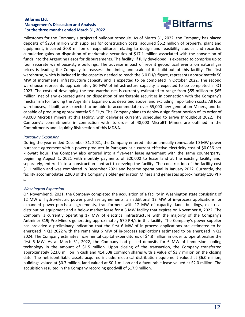

milestones for the Company's projected buildout schedule. As of March 31, 2022, the Company has placed deposits of \$23.4 million with suppliers for construction costs, acquired \$6.2 million of property, plant and equipment, incurred \$0.3 million of expenditures relating to design and feasibility studies and recorded cumulative gains on disposition of marketable securities of \$17.1 million associated with the conversion of funds into the Argentine Pesos for disbursements. The facility, if fully developed, is expected to comprise up to four separate warehouse-style buildings. The adverse impact of recent geopolitical events on natural gas prices is leading the Company to reassess the timing and scale of its build-out of this facility. The first warehouse, which is included in the capacity needed to reach the 6.0 EH/s figure, represents approximately 50 MW of incremental infrastructure capacity and is expected to be completed in October 2022. The second warehouse represents approximately 50 MW of infrastructure capacity is expected to be completed in  $Q1$ 2023. The costs of developing the two warehouses is currently estimated to range from \$55 million to \$65 million, net of any expected gains on disposition of marketable securities in connection with the Company's mechanism for funding the Argentina Expansion, as described above, and excluding importation costs. All four warehouses, if built, are expected to be able to accommodate over 55,000 new generation Miners, and be capable of producing approximately 5.5 EH/s. The Company plans to deploy a significant portion of its order of 48,000 MicroBT miners at this facility, with deliveries currently scheduled to arrive throughout 2022. The Company's commitments in connection with its order of 48,000 MicroBT Miners are outlined in the Commitments and Liquidity Risk section of this MD&A.

#### *Paraguay Expansion*

During the year ended December 31, 2021, the Company entered into an annually renewable 10 MW power purchase agreement with a power producer in Paraguay at a current effective electricity cost of \$0.036 per kilowatt hour. The Company also entered into a five-year lease agreement with the same counterparty, beginning August 1, 2021 with monthly payments of \$20,000 to lease land at the existing facility and, separately, entered into a construction contract to develop the facility. The construction of the facility cost \$1.1 million and was completed in December 2021 and became operational in January 2022. Currently, the facility accommodates 2,900 of the Company's older generation Miners and generates approximately 110 PH/ s. 

### *Washington Expansion*

On November 9, 2021, the Company completed the acquisition of a facility in Washington state consisting of 12 MW of hydro-electric power purchase agreements, an additional 12 MW of in-process applications for expanded power-purchase agreements, transformers with 17 MW of capacity, land, buildings, electrical distribution equipment and a below market lease for a 5 MW facility that expires on November 8, 2022. The Company is currently operating 17 MW of electrical infrastructure with the majority of the Company's Antminer S19j Pro Miners generating approximately 570 PH/s in this facility. The Company's power supplier has provided a preliminary indication that the first 6 MW of in-process applications are estimated to be energized in Q3 2022 with the remaining 6 MW of in-process applications estimated to be energized in Q2 2024. The Company estimates incremental capital expenditures of \$4.8 million in order to operationalize the first 6 MW. As at March 31, 2022, the Company had placed deposits for 6 MW of immersion cooling technology in the amount of \$1.5 million. Upon closing of the transaction, the Company transferred approximately \$23.0 million in cash and 414,508 Common shares with a value of \$3.7 million on the closing date. The net identifiable assets acquired include: electrical distribution equipment valued at \$6.0 million, buildings valued at \$0.7 million, land valued at \$0.1 million and a favourable lease valued at \$2.0 million. The acquisition resulted in the Company recording goodwill of \$17.9 million.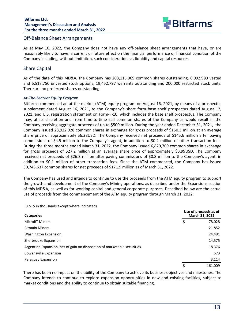

### <span id="page-13-0"></span>Off-Balance Sheet Arrangements

As at May 16, 2022, the Company does not have any off-balance sheet arrangements that have, or are reasonably likely to have, a current or future effect on the financial performance or financial condition of the Company including, without limitation, such considerations as liquidity and capital resources.

## **Share Capital**

As of the date of this MD&A, the Company has 203,115,069 common shares outstanding, 6,092,983 vested and 6,518,750 unvested stock options, 19,452,797 warrants outstanding and 200,000 restricted stock units. There are no preferred shares outstanding.

#### At-The-Market Equity Program

Bitfarms commenced an at-the-market (ATM) equity program on August 16, 2021, by means of a prospectus supplement dated August 16, 2021, to the Company's short form base shelf prospectus dated August 12, 2021, and U.S. registration statement on Form-F-10, which includes the base shelf prospectus. The Company may, at its discretion and from time-to-time sell common shares of the Company as would result in the Company receiving aggregate proceeds of up to \$500 million. During the year ended December 31, 2021, the Company issued 23,922,928 common shares in exchange for gross proceeds of \$150.3 million at an average share price of approximately \$6.28USD. The Company received net proceeds of \$145.6 million after paying commissions of \$4.5 million to the Company's agent, in addition to \$0.2 million of other transaction fees. During the three months ended March 31, 2022, the Company issued 6,820,709 common shares in exchange for gross proceeds of \$27.2 million at an average share price of approximately \$3.99USD. The Company received net proceeds of \$26.3 million after paying commissions of \$0.8 million to the Company's agent, in addition to \$0.1 million of other transaction fees. Since the ATM commenced, the Company has issued 30,743,637 common shares for net proceeds of \$171.9 million as of March 31, 2022.

The Company has used and intends to continue to use the proceeds from the ATM equity program to support the growth and development of the Company's Mining operations, as described under the Expansions section of this MD&A, as well as for working capital and general corporate purposes. Described below are the actual use of proceeds from the commencement of the ATM equity program through March 31, 2022:

#### (U.S. \$ in thousands except where indicated)

| <b>Categories</b>                                                        | Use of proceeds as of<br>March 31, 2022 |         |  |
|--------------------------------------------------------------------------|-----------------------------------------|---------|--|
| <b>MicroBT Miners</b>                                                    | \$                                      | 78,028  |  |
| <b>Bitmain Miners</b>                                                    |                                         | 21,852  |  |
| Washington Expansion                                                     |                                         | 24,491  |  |
| Sherbrooke Expansion                                                     |                                         | 14,575  |  |
| Argentina Expansion, net of gain on disposition of marketable securities |                                         | 18,376  |  |
| Cowansville Expansion                                                    |                                         | 573     |  |
| Paraguay Expansion                                                       |                                         | 3,114   |  |
|                                                                          | Ś                                       | 161,009 |  |

There has been no impact on the ability of the Company to achieve its business objectives and milestones. The Company intends to continue to explore expansion opportunities in new and existing facilities, subject to market conditions and the ability to continue to obtain suitable financing.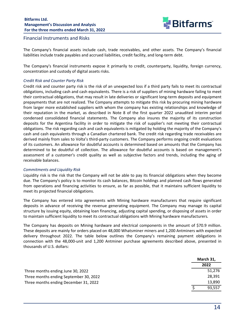

### <span id="page-14-0"></span>Financial Instruments and Risks

The Company's financial assets include cash, trade receivables, and other assets. The Company's financial liabilities include trade payables and accrued liabilities, credit facility, and long-term debt.

The Company's financial instruments expose it primarily to credit, counterparty, liquidity, foreign currency, concentration and custody of digital assets risks.

#### *Credit Risk and Counter Party Risk*

Credit risk and counter party risk is the risk of an unexpected loss if a third party fails to meet its contractual obligations, including cash and cash equivalents. There is a risk of suppliers of mining hardware failing to meet their contractual obligations, that may result in late deliveries or significant long-term deposits and equipment prepayments that are not realized. The Company attempts to mitigate this risk by procuring mining hardware from larger more established suppliers with whom the company has existing relationships and knowledge of their reputation in the market, as described in Note 8 of the first quarter 2022 unaudited interim period condensed consolidated financial statements. The Company also insures the majority of its construction deposits for the Argentina facility in order to mitigate the risk of supplier's not meeting their contractual obligations. The risk regarding cash and cash equivalents is mitigated by holding the majority of the Company's cash and cash equivalents through a Canadian chartered bank. The credit risk regarding trade receivables are derived mainly from sales to Volta's third-party customers. The Company performs ongoing credit evaluations of its customers. An allowance for doubtful accounts is determined based on amounts that the Company has determined to be doubtful of collection. The allowance for doubtful accounts is based on management's assessment of a customer's credit quality as well as subjective factors and trends, including the aging of receivable balances.

#### *Commitments and Liquidity Risk*

Liquidity risk is the risk that the Company will not be able to pay its financial obligations when they become due. The Company's policy is to monitor its cash balances, Bitcoin holdings and planned cash flows generated from operations and financing activities to ensure, as far as possible, that it maintains sufficient liquidity to meet its projected financial obligations.

The Company has entered into agreements with Mining hardware manufacturers that require significant deposits in advance of receiving the revenue generating equipment. The Company may manage its capital structure by issuing equity, obtaining loan financing, adjusting capital spending, or disposing of assets in order to maintain sufficient liquidity to meet its contractual obligations with Mining hardware manufacturers.

The Company has deposits on Mining hardware and electrical components in the amount of \$70.9 million. These deposits are mainly for orders placed on 48,000 Whatsminer miners and 1,200 Antminers with expected delivery throughout 2022. The table below outlines the Company's remaining payment obligations in connection with the 48,000-unit and 1,200 Antminer purchase agreements described above, presented in thousands of U.S. dollars:

|                                        | March 31, |
|----------------------------------------|-----------|
|                                        | 2022      |
| Three months ending June 30, 2022      | 51.276    |
| Three months ending September 30, 2022 | 28.391    |
| Three months ending December 31, 2022  | 13.890    |
|                                        | 93.557    |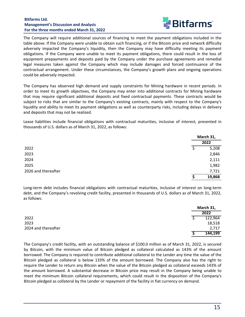

The Company will require additional sources of financing to meet the payment obligations included in the table above. If the Company were unable to obtain such financing, or if the Bitcoin price and network difficulty adversely impacted the Company's liquidity, then the Company may have difficulty meeting its payment obligations. If the Company were unable to meet its payment obligations, there could result in the loss of equipment prepayments and deposits paid by the Company under the purchase agreements and remedial legal measures taken against the Company which may include damages and forced continuance of the contractual arrangement. Under these circumstances, the Company's growth plans and ongoing operations could be adversely impacted.

The Company has observed high demand and supply constraints for Mining hardware in recent periods. In order to meet its growth objectives, the Company may enter into additional contracts for Mining hardware that may require significant additional deposits and fixed contractual payments. These contracts would be subject to risks that are similar to the Company's existing contracts, mainly with respect to the Company's liquidity and ability to meet its payment obligations as well as counterparty risks, including delays in delivery and deposits that may not be realized.

Lease liabilities include financial obligations with contractual maturities, inclusive of interest, presented in thousands of U.S. dollars as of March 31, 2022, as follows:

|                     | March 31,        |
|---------------------|------------------|
|                     | 2022             |
| 2022                | 5,208<br>ς       |
| 2023                | 2,846            |
| 2024                | 2,111            |
| 2025                | 1,982            |
| 2026 and thereafter | 7,721            |
|                     | 19,868<br>c<br>э |

Long-term debt includes financial obligations with contractual maturities, inclusive of interest on long-term debt, and the Company's revolving credit facility, presented in thousands of U.S. dollars as of March 31, 2022, as follows:

|                     | March 31, |
|---------------------|-----------|
|                     | 2022      |
| 2022                | 122,964   |
| 2023                | 18,518    |
| 2024 and thereafter | 2,717     |
|                     | 144,199   |

The Company's credit facility, with an outstanding balance of \$100.0 million as of March 31, 2022, is secured by Bitcoin, with the minimum value of Bitcoin pledged as collateral calculated as 143% of the amount borrowed. The Company is required to contribute additional collateral to the Lender any time the value of the Bitcoin pledged as collateral is below 133% of the amount borrowed. The Company also has the right to require the Lender to return any Bitcoin when the value of the Bitcoin pledged as collateral exceeds 143% of the amount borrowed. A substantial decrease in Bitcoin price may result in the Company being unable to meet the minimum Bitcoin collateral requirements, which could result in the disposition of the Company's Bitcoin pledged as collateral by the Lender or repayment of the facility in fiat currency on demand.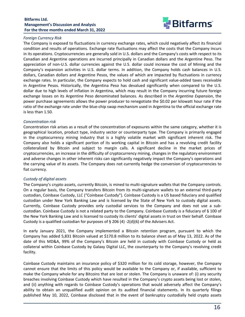

### *Foreign Currency Risk*

The Company is exposed to fluctuations in currency exchange rates, which could negatively affect its financial condition and results of operations. Exchange rate fluctuations may affect the costs that the Company incurs in its operations. Cryptocurrencies are generally sold in U.S. dollars and the Company's costs with respect to its Canadian and Argentine operations are incurred principally in Canadian dollars and the Argentine Peso. The appreciation of non-U.S. dollar currencies against the U.S. dollar could increase the cost of Mining and the Company's expansion activities in U.S. dollar terms. In addition, the Company holds cash balances in U.S. dollars, Canadian dollars and Argentine Pesos, the values of which are impacted by fluctuations in currency exchange rates. In particular, the Company expects to hold cash and significant value-added taxes receivable in Argentine Pesos. Historically, the Argentina Peso has devalued significantly when compared to the U.S. dollar due to high levels of inflation in Argentina, which may result in the Company incurring future foreign exchange losses on its Argentine Peso denominated balances. As described in the *Argentina Expansion*, the power purchase agreements allows the power producer to renegotiate the \$0.02 per kilowatt hour rate if the ratio of the exchange rate under the blue-chip swap mechanism used in Argentina to the official exchange rate is less than 1.50.

#### *Concentration risk*

Concentration risk arises as a result of the concentration of exposures within the same category, whether it is geographical location, product type, industry sector or counterparty type. The Company is primarily engaged in the cryptocurrency mining industry that is a highly volatile market with significant inherent risk. The Company also holds a significant portion of its working capital in Bitcoin and has a revolving credit facility collateralized by Bitcoin and subject to margin calls. A significant decline in the market prices of cryptocurrencies, an increase in the difficulty of cryptocurrency mining, changes in the regulatory environment and adverse changes in other inherent risks can significantly negatively impact the Company's operations and the carrying value of its assets. The Company does not currently hedge the conversion of cryptocurrencies to fiat currency.

### *Custody of digital assets*

The Company's crypto assets, currently Bitcoin, is mined to multi-signature wallets that the Company controls. On a regular basis, the Company transfers Bitcoin from its multi-signature wallets to an external third-party custodian, Coinbase Custody, LLC ("Coinbase Custody"). Coinbase Custody is a US based fiduciary and qualified custodian under New York Banking Law and is licensed by the State of New York to custody digital assets. Currently, Coinbase Custody provides only custodial services to the Company and does not use a subcustodian. Coinbase Custody is not a related party to the Company. Coinbase Custody is a fiduciary of § 100 of the New York Banking Law and is licensed to custody its clients' digital assets in trust on their behalf. Coinbase Custody is a qualified custodian for purposes of § 206 (4) -2(d)(6) of the Advisers Act.

In early January 2021, the Company implemented a Bitcoin retention program, pursuant to which the Company has added 5,831 Bitcoin valued at \$170.8 million to its balance sheet as of May 13, 2022. As of the date of this MD&A, 99% of the Company's Bitcoin are held in custody with Coinbase Custody or held as collateral within Coinbase Custody by Galaxy Digital LLC, the counterparty to the Company's revolving credit facility.

Coinbase Custody maintains an insurance policy of \$320 million for its cold storage, however, the Company cannot ensure that the limits of this policy would be available to the Company or, if available, sufficient to make the Company whole for any Bitcoins that are lost or stolen. The Company is unaware of: (i) any security breaches involving Coinbase Custody which have resulted in the Company's crypto assets being lost or stolen, and (ii) anything with regards to Coinbase Custody's operations that would adversely affect the Company's ability to obtain an unqualified audit opinion on its audited financial statements. In its quarterly filings published May 10, 2022, Coinbase disclosed that in the event of bankruptcy custodially held crypto assets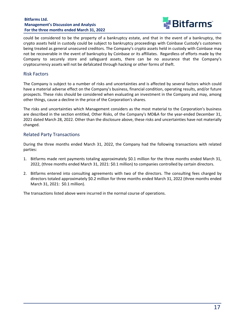

<span id="page-17-0"></span>could be considered to be the property of a bankruptcy estate, and that in the event of a bankruptcy, the crypto assets held in custody could be subject to bankruptcy proceedings with Coinbase Custody's customers being treated as general unsecured creditors. The Company's crypto assets held in custody with Coinbase may not be recoverable in the event of bankruptcy by Coinbase or its affiliates. Regardless of efforts made by the Company to securely store and safeguard assets, there can be no assurance that the Company's cryptocurrency assets will not be defalcated through hacking or other forms of theft.

## Risk Factors

The Company is subject to a number of risks and uncertainties and is affected by several factors which could have a material adverse effect on the Company's business, financial condition, operating results, and/or future prospects. These risks should be considered when evaluating an investment in the Company and may, among other things, cause a decline in the price of the Corporation's shares.

The risks and uncertainties which Management considers as the most material to the Corporation's business are described in the section entitled, Other Risks, of the Company's MD&A for the year-ended December 31, 2021 dated March 28, 2022. Other than the disclosure above, these risks and uncertainties have not materially changed.

## Related Party Transactions

During the three months ended March 31, 2022, the Company had the following transactions with related parties:

- 1. Bitfarms made rent payments totaling approximately \$0.1 million for the three months ended March 31, 2022, (three months ended March 31, 2021: \$0.1 million) to companies controlled by certain directors.
- 2. Bitfarms entered into consulting agreements with two of the directors. The consulting fees charged by directors totaled approximately \$0.2 million for three months ended March 31, 2022 (three months ended March 31, 2021: \$0.1 million).

The transactions listed above were incurred in the normal course of operations.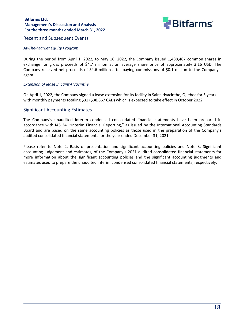

#### <span id="page-18-0"></span>Recent and Subsequent Events

#### At-The-Market Equity Program

During the period from April 1, 2022, to May 16, 2022, the Company issued 1,488,467 common shares in exchange for gross proceeds of \$4.7 million at an average share price of approximately 3.16 USD. The Company received net proceeds of \$4.6 million after paying commissions of \$0.1 million to the Company's agent. 

#### *Extension of lease in Saint-Hyacinthe*

On April 1, 2022, the Company signed a lease extension for its facility in Saint-Hyacinthe, Quebec for 5 years with monthly payments totaling \$31 (\$38,667 CAD) which is expected to take effect in October 2022.

## Significant Accounting Estimates

The Company's unaudited interim condensed consolidated financial statements have been prepared in accordance with IAS 34, "Interim Financial Reporting," as issued by the International Accounting Standards Board and are based on the same accounting policies as those used in the preparation of the Company's audited consolidated financial statements for the year ended December 31, 2021.

Please refer to Note 2, Basis of presentation and significant accounting policies and Note 3, Significant accounting judgement and estimates, of the Company's 2021 audited consolidated financial statements for more information about the significant accounting policies and the significant accounting judgments and estimates used to prepare the unaudited interim condensed consolidated financial statements, respectively.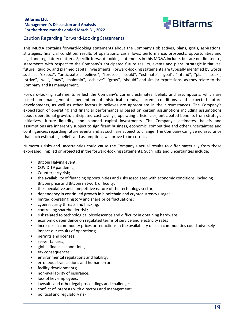

## <span id="page-19-0"></span>Caution Regarding Forward-Looking Statements

This MD&A contains forward-looking statements about the Company's objectives, plans, goals, aspirations, strategies, financial condition, results of operations, cash flows, performance, prospects, opportunities and legal and regulatory matters. Specific forward-looking statements in this MD&A include, but are not limited to, statements with respect to the Company's anticipated future results, events and plans, strategic initiatives, future liquidity, and planned capital investments. Forward-looking statements are typically identified by words such as "expect", "anticipate", "believe", "foresee", "could", "estimate", "goal", "intend", "plan", "seek", "strive", "will", "may", "maintain", "achieve", "grow", "should" and similar expressions, as they relate to the Company and its management.

Forward-looking statements reflect the Company's current estimates, beliefs and assumptions, which are based on management's perception of historical trends, current conditions and expected future developments, as well as other factors it believes are appropriate in the circumstances. The Company's expectation of operating and financial performance is based on certain assumptions including assumptions about operational growth, anticipated cost savings, operating efficiencies, anticipated benefits from strategic initiatives, future liquidity, and planned capital investments. The Company's estimates, beliefs and assumptions are inherently subject to significant business, economic, competitive and other uncertainties and contingencies regarding future events and as such, are subject to change. The Company can give no assurance that such estimates, beliefs and assumptions will prove to be correct.

Numerous risks and uncertainties could cause the Company's actual results to differ materially from those expressed, implied or projected in the forward-looking statements. Such risks and uncertainties include:

- Bitcoin Halving event;
- COVID 19 pandemic;
- Counterparty risk;
- the availability of financing opportunities and risks associated with economic conditions, including Bitcoin price and Bitcoin network difficulty;
- the speculative and competitive nature of the technology sector;
- dependency in continued growth in blockchain and cryptocurrency usage;
- limited operating history and share price fluctuations;
- cybersecurity threats and hacking;
- controlling shareholder risk;
- risk related to technological obsolescence and difficulty in obtaining hardware;
- economic dependence on regulated terms of service and electricity rates
- increases in commodity prices or reductions in the availability of such commodities could adversely impact our results of operations;
- permits and licenses;
- server failures;
- global financial conditions;
- tax consequences;
- environmental regulations and liability;
- erroneous transactions and human error;
- facility developments;
- non-availability of insurance;
- loss of key employees;
- lawsuits and other legal proceedings and challenges;
- conflict of interests with directors and management;
- political and regulatory risk;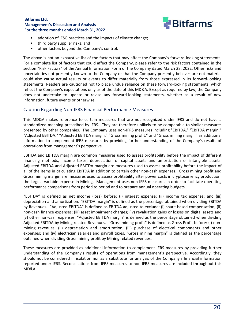

- <span id="page-20-0"></span>• adoption of ESG practices and the impacts of climate change;
- third party supplier risks; and
- other factors beyond the Company's control.

The above is not an exhaustive list of the factors that may affect the Company's forward-looking statements. For a complete list of factors that could affect the Company, please refer to the risk factors contained in the section "Risk Factors" of the Annual Information Form of the Company dated March 28, 2022. Other risks and uncertainties not presently known to the Company or that the Company presently believes are not material could also cause actual results or events to differ materially from those expressed in its forward-looking statements. Readers are cautioned not to place undue reliance on these forward-looking statements, which reflect the Company's expectations only as of the date of this MD&A. Except as required by law, the Company does not undertake to update or revise any forward-looking statements, whether as a result of new information, future events or otherwise.

## Caution Regarding Non-IFRS Financial Performance Measures

This MD&A makes reference to certain measures that are not recognized under IFRS and do not have a standardized meaning prescribed by IFRS. They are therefore unlikely to be comparable to similar measures presented by other companies. The Company uses non-IFRS measures including "EBITDA," "EBITDA margin," "Adjusted EBITDA," "Adjusted EBITDA margin," "Gross mining profit," and "Gross mining margin" as additional information to complement IFRS measures by providing further understanding of the Company's results of operations from management's perspective.

EBITDA and EBITDA margin are common measures used to assess profitability before the impact of different financing methods, income taxes, depreciation of capital assets and amortization of intangible assets. Adjusted EBITDA and Adjusted EBITDA margin are measures used to assess profitability before the impact of all of the items in calculating EBITDA in addition to certain other non-cash expenses. Gross mining profit and Gross mining margin are measures used to assess profitability after power costs in cryptocurrency production, the largest variable expense in Mining. Management uses non-IFRS measures in order to facilitate operating performance comparisons from period to period and to prepare annual operating budgets.

"EBITDA" is defined as net income (loss) before: (i) interest expense; (ii) income tax expense; and (iii) depreciation and amortization. "EBITDA margin" is defined as the percentage obtained when dividing EBITDA by Revenues. "Adjusted EBITDA" is defined as EBITDA adjusted to exclude: (i) share-based compensation; (ii) non-cash finance expenses; (iii) asset impairment charges; (iv) revaluation gains or losses on digital assets and (v) other non-cash expenses. "Adjusted EBITDA margin" is defined as the percentage obtained when dividing Adjusted EBITDA by Mining related Revenues. "Gross mining profit" is defined as Gross Profit before: (i) nonmining revenues; (ii) depreciation and amortization; (iii) purchase of electrical components and other expenses; and (iv) electrician salaries and payroll taxes. "Gross mining margin" is defined as the percentage obtained when dividing Gross mining profit by Mining related revenues.

These measures are provided as additional information to complement IFRS measures by providing further understanding of the Company's results of operations from management's perspective. Accordingly, they should not be considered in isolation nor as a substitute for analysis of the Company's financial information reported under IFRS. Reconciliations from IFRS measures to non-IFRS measures are included throughout this MD&A.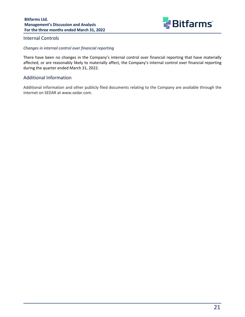

## <span id="page-21-0"></span>Internal Controls

#### *Changes in internal control over financial reporting*

There have been no changes in the Company's internal control over financial reporting that have materially affected, or are reasonably likely to materially affect, the Company's internal control over financial reporting during the quarter ended March 31, 2022.

## **Additional Information**

Additional information and other publicly filed documents relating to the Company are available through the internet on SEDAR at www.sedar.com.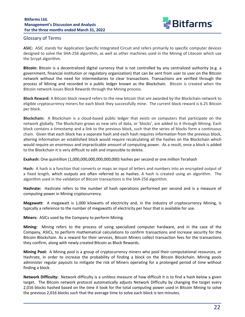

## <span id="page-22-0"></span>Glossary of Terms

ASIC: ASIC stands for Application Specific Integrated Circuit and refers primarily to specific computer devices designed to solve the SHA-256 algorithm, as well as other machines used in the Mining of Litecoin which use the Scrypt algorithm.

**Bitcoin:** Bitcoin is a decentralized digital currency that is not controlled by any centralized authority (e.g. a government, financial institution or regulatory organization) that can be sent from user to user on the Bitcoin network without the need for intermediaries to clear transactions. Transactions are verified through the process of Mining and recorded in a public ledger known as the Blockchain. Bitcoin is created when the Bitcoin network issues Block Rewards through the Mining process.

**Block Reward:** A Bitcoin block reward refers to the new bitcoin that are awarded by the Blockchain network to eligible cryptocurrency miners for each block they successfully mine. The current block reward is 6.25 Bitcoin per block.

**Blockchain:** A Blockchain is a cloud-based public ledger that exists on computers that participate on the network globally. The Blockchain grows as new sets of data, or 'blocks', are added to it through Mining. Each block contains a timestamp and a link to the previous block, such that the series of blocks form a continuous chain. Given that each block has a separate hash and each hash requires information from the previous block, altering information an established block would require recalculating all the hashes on the Blockchain which would require an enormous and impracticable amount of computing power. As a result, once a block is added to the Blockchain it is very difficult to edit and impossible to delete.

**Exahash:** One quintillion (1,000,000,000,000,000,000) hashes per second or one million Terahash

**Hash:** A hash is a function that converts or maps an input of letters and numbers into an encrypted output of a fixed length, which outputs are often referred to as hashes. A hash is created using an algorithm. The algorithm used in the validation of Bitcoin transactions is the SHA-256 algorithm.

**Hashrate:** Hashrate refers to the number of hash operations performed per second and is a measure of computing power in Mining cryptocurrency.

**Megawatt:** A megawatt is 1,000 kilowatts of electricity and, in the industry of cryptocurrency Mining, is typically a reference to the number of megawatts of electricity per hour that is available for use.

**Miners:** ASICs used by the Company to perform Mining.

**Mining:** Mining refers to the process of using specialized computer hardware, and in the case of the Company, ASICs, to perform mathematical calculations to confirm transactions and increase security for the Bitcoin Blockchain. As a reward for their services, Bitcoin Miners collect transaction fees for the transactions they confirm, along with newly created Bitcoin as Block Rewards.

**Mining Pool:** A Mining pool is a group of cryptocurrency miners who pool their computational resources, or Hashrate, in order to increase the probability of finding a block on the Bitcoin Blockchain. Mining pools administer regular payouts to mitigate the risk of Miners operating for a prolonged period of time without finding a block.

**Network Difficulty:** Network difficulty is a unitless measure of how difficult it is to find a hash below a given target. The Bitcoin network protocol automatically adjusts Network Difficulty by changing the target every 2,016 blocks hashed based on the time it took for the total computing power used in Bitcoin Mining to solve the previous 2,016 blocks such that the average time to solve each block is ten minutes.